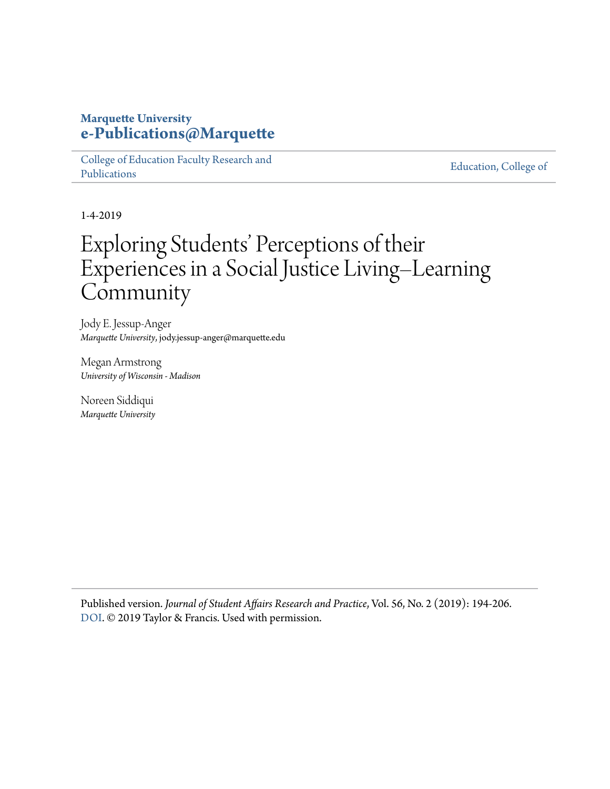## **Marquette University [e-Publications@Marquette](https://epublications.marquette.edu/)**

[College of Education Faculty Research and](https://epublications.marquette.edu/edu_fac) [Publications](https://epublications.marquette.edu/edu_fac)

[Education, College of](https://epublications.marquette.edu/education)

1-4-2019

# Exploring Students' Perceptions of their Experiences in a Social Justice Living–Learning Community

Jody E. Jessup-Anger *Marquette University*, jody.jessup-anger@marquette.edu

Megan Armstrong *University of Wisconsin - Madison*

Noreen Siddiqui *Marquette University*

Published version. *Journal of Student Affairs Research and Practice*, Vol. 56, No. 2 (2019): 194-206. [DOI](https://doi.org/10.1080/19496591.2018.1506794). © 2019 Taylor & Francis. Used with permission.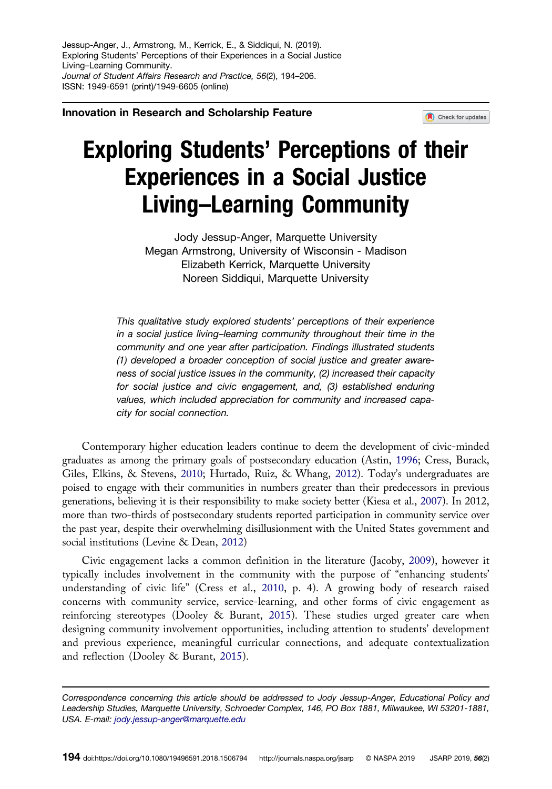<span id="page-1-0"></span>Innovation in Research and Scholarship Feature

Check for updates

# Exploring Students' Perceptions of their Experiences in a Social Justice Living–Learning Community

Jody Jessup-Anger, Marquette University Megan Armstrong, University of Wisconsin - Madison Elizabeth Kerrick, Marquette University Noreen Siddiqui, Marquette University

This qualitative study explored students' perceptions of their experience in a social justice living–learning community throughout their time in the community and one year after participation. Findings illustrated students (1) developed a broader conception of social justice and greater awareness of social justice issues in the community, (2) increased their capacity for social justice and civic engagement, and, (3) established enduring values, which included appreciation for community and increased capacity for social connection.

Contemporary higher education leaders continue to deem the development of civic-minded graduates as among the primary goals of postsecondary education (Astin, [1996](#page-12-0); Cress, Burack, Giles, Elkins, & Stevens, [2010](#page-13-0); Hurtado, Ruiz, & Whang, [2012](#page-13-0)). Today's undergraduates are poised to engage with their communities in numbers greater than their predecessors in previous generations, believing it is their responsibility to make society better (Kiesa et al., [2007\)](#page-13-0). In 2012, more than two-thirds of postsecondary students reported participation in community service over the past year, despite their overwhelming disillusionment with the United States government and social institutions (Levine & Dean, [2012](#page-13-0))

Civic engagement lacks a common definition in the literature (Jacoby, [2009\)](#page-13-0), however it typically includes involvement in the community with the purpose of "enhancing students' understanding of civic life" (Cress et al., [2010](#page-13-0), p. 4). A growing body of research raised concerns with community service, service-learning, and other forms of civic engagement as reinforcing stereotypes (Dooley & Burant, [2015\)](#page-13-0). These studies urged greater care when designing community involvement opportunities, including attention to students' development and previous experience, meaningful curricular connections, and adequate contextualization and reflection (Dooley & Burant, [2015](#page-13-0)).

Correspondence concerning this article should be addressed to Jody Jessup-Anger, Educational Policy and Leadership Studies, Marquette University, Schroeder Complex, 146, PO Box 1881, Milwaukee, WI 53201-1881, USA. E-mail: [jody.jessup-anger@marquette.edu](mailto:jody.jessup-anger@marquette.edu)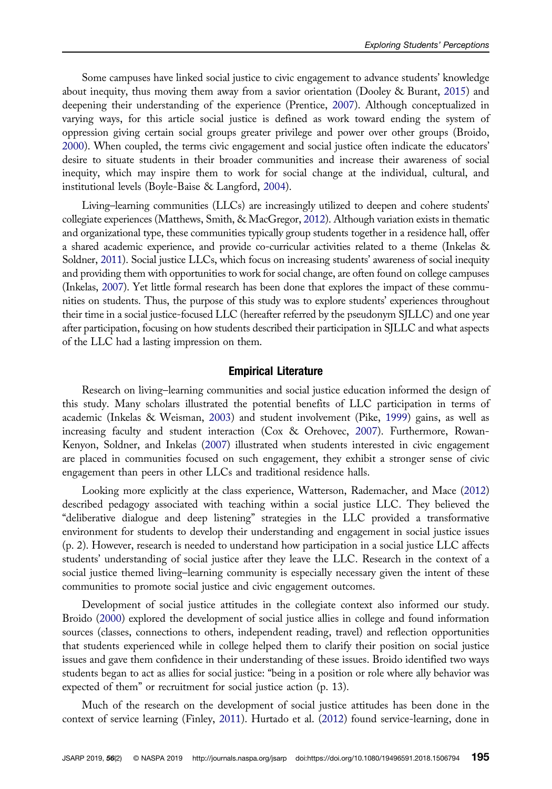<span id="page-2-0"></span>Some campuses have linked social justice to civic engagement to advance students' knowledge about inequity, thus moving them away from a savior orientation (Dooley & Burant, [2015](#page-13-0)) and deepening their understanding of the experience (Prentice, [2007](#page-13-0)). Although conceptualized in varying ways, for this article social justice is defined as work toward ending the system of oppression giving certain social groups greater privilege and power over other groups (Broido, [2000\)](#page-12-0). When coupled, the terms civic engagement and social justice often indicate the educators' desire to situate students in their broader communities and increase their awareness of social inequity, which may inspire them to work for social change at the individual, cultural, and institutional levels (Boyle-Baise & Langford, [2004\)](#page-12-0).

Living–learning communities (LLCs) are increasingly utilized to deepen and cohere students' collegiate experiences (Matthews, Smith, & MacGregor, [2012\)](#page-13-0). Although variation exists in thematic and organizational type, these communities typically group students together in a residence hall, offer a shared academic experience, and provide co-curricular activities related to a theme (Inkelas & Soldner, [2011\)](#page-13-0). Social justice LLCs, which focus on increasing students' awareness of social inequity and providing them with opportunities to work for social change, are often found on college campuses (Inkelas, [2007\)](#page-13-0). Yet little formal research has been done that explores the impact of these communities on students. Thus, the purpose of this study was to explore students' experiences throughout their time in a social justice-focused LLC (hereafter referred by the pseudonym SJLLC) and one year after participation, focusing on how students described their participation in SJLLC and what aspects of the LLC had a lasting impression on them.

#### Empirical Literature

Research on living–learning communities and social justice education informed the design of this study. Many scholars illustrated the potential benefits of LLC participation in terms of academic (Inkelas & Weisman, [2003\)](#page-13-0) and student involvement (Pike, [1999\)](#page-13-0) gains, as well as increasing faculty and student interaction (Cox & Orehovec, [2007\)](#page-12-0). Furthermore, Rowan-Kenyon, Soldner, and Inkelas [\(2007](#page-13-0)) illustrated when students interested in civic engagement are placed in communities focused on such engagement, they exhibit a stronger sense of civic engagement than peers in other LLCs and traditional residence halls.

Looking more explicitly at the class experience, Watterson, Rademacher, and Mace ([2012\)](#page-13-0) described pedagogy associated with teaching within a social justice LLC. They believed the "deliberative dialogue and deep listening" strategies in the LLC provided a transformative environment for students to develop their understanding and engagement in social justice issues (p. 2). However, research is needed to understand how participation in a social justice LLC affects students' understanding of social justice after they leave the LLC. Research in the context of a social justice themed living–learning community is especially necessary given the intent of these communities to promote social justice and civic engagement outcomes.

Development of social justice attitudes in the collegiate context also informed our study. Broido ([2000\)](#page-12-0) explored the development of social justice allies in college and found information sources (classes, connections to others, independent reading, travel) and reflection opportunities that students experienced while in college helped them to clarify their position on social justice issues and gave them confidence in their understanding of these issues. Broido identified two ways students began to act as allies for social justice: "being in a position or role where ally behavior was expected of them" or recruitment for social justice action (p. 13).

Much of the research on the development of social justice attitudes has been done in the context of service learning (Finley, [2011](#page-13-0)). Hurtado et al. ([2012\)](#page-13-0) found service-learning, done in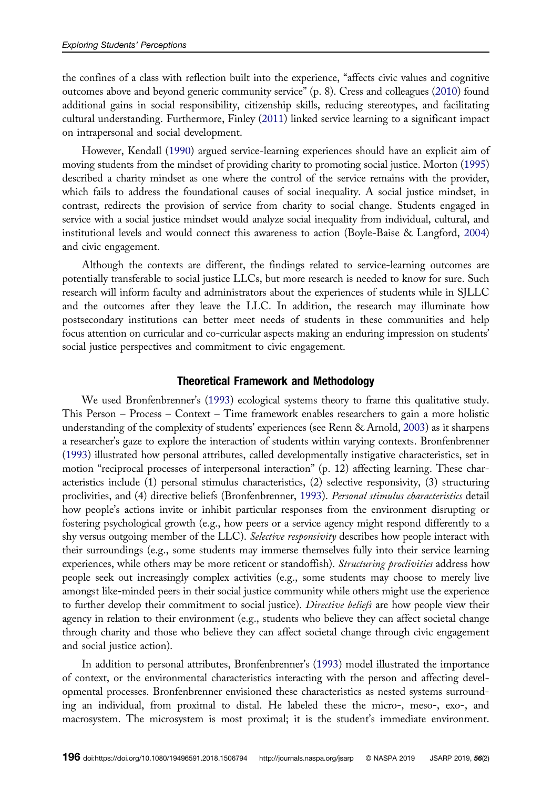<span id="page-3-0"></span>the confines of a class with reflection built into the experience, "affects civic values and cognitive outcomes above and beyond generic community service" (p. 8). Cress and colleagues ([2010](#page-13-0)) found additional gains in social responsibility, citizenship skills, reducing stereotypes, and facilitating cultural understanding. Furthermore, Finley [\(2011](#page-13-0)) linked service learning to a significant impact on intrapersonal and social development.

However, Kendall [\(1990](#page-13-0)) argued service-learning experiences should have an explicit aim of moving students from the mindset of providing charity to promoting social justice. Morton ([1995\)](#page-13-0) described a charity mindset as one where the control of the service remains with the provider, which fails to address the foundational causes of social inequality. A social justice mindset, in contrast, redirects the provision of service from charity to social change. Students engaged in service with a social justice mindset would analyze social inequality from individual, cultural, and institutional levels and would connect this awareness to action (Boyle-Baise & Langford, [2004\)](#page-12-0) and civic engagement.

Although the contexts are different, the findings related to service-learning outcomes are potentially transferable to social justice LLCs, but more research is needed to know for sure. Such research will inform faculty and administrators about the experiences of students while in SJLLC and the outcomes after they leave the LLC. In addition, the research may illuminate how postsecondary institutions can better meet needs of students in these communities and help focus attention on curricular and co-curricular aspects making an enduring impression on students' social justice perspectives and commitment to civic engagement.

### Theoretical Framework and Methodology

We used Bronfenbrenner's [\(1993](#page-12-0)) ecological systems theory to frame this qualitative study. This Person – Process – Context – Time framework enables researchers to gain a more holistic understanding of the complexity of students' experiences (see Renn & Arnold, [2003](#page-13-0)) as it sharpens a researcher's gaze to explore the interaction of students within varying contexts. Bronfenbrenner ([1993\)](#page-12-0) illustrated how personal attributes, called developmentally instigative characteristics, set in motion "reciprocal processes of interpersonal interaction" (p. 12) affecting learning. These characteristics include (1) personal stimulus characteristics, (2) selective responsivity, (3) structuring proclivities, and (4) directive beliefs (Bronfenbrenner, [1993\)](#page-12-0). Personal stimulus characteristics detail how people's actions invite or inhibit particular responses from the environment disrupting or fostering psychological growth (e.g., how peers or a service agency might respond differently to a shy versus outgoing member of the LLC). Selective responsivity describes how people interact with their surroundings (e.g., some students may immerse themselves fully into their service learning experiences, while others may be more reticent or standoffish). *Structuring proclivities* address how people seek out increasingly complex activities (e.g., some students may choose to merely live amongst like-minded peers in their social justice community while others might use the experience to further develop their commitment to social justice). Directive beliefs are how people view their agency in relation to their environment (e.g., students who believe they can affect societal change through charity and those who believe they can affect societal change through civic engagement and social justice action).

In addition to personal attributes, Bronfenbrenner's [\(1993](#page-12-0)) model illustrated the importance of context, or the environmental characteristics interacting with the person and affecting developmental processes. Bronfenbrenner envisioned these characteristics as nested systems surrounding an individual, from proximal to distal. He labeled these the micro-, meso-, exo-, and macrosystem. The microsystem is most proximal; it is the student's immediate environment.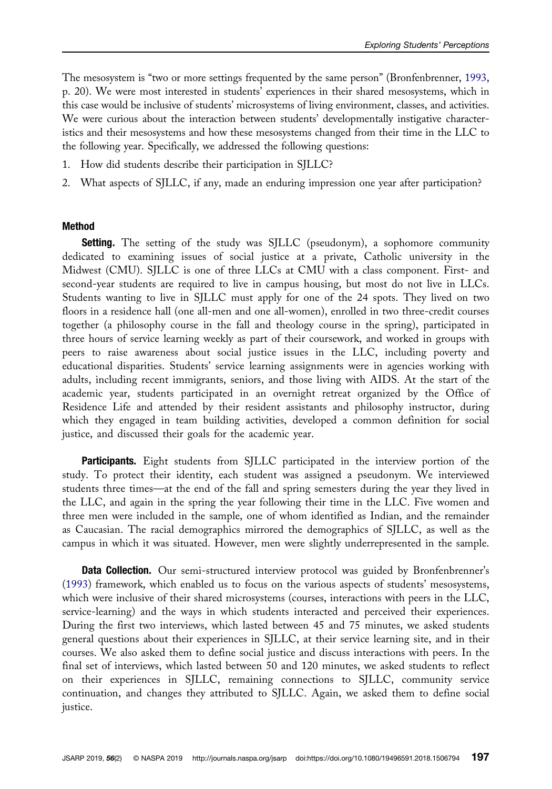The mesosystem is "two or more settings frequented by the same person" (Bronfenbrenner, [1993](#page-12-0), p. 20). We were most interested in students' experiences in their shared mesosystems, which in this case would be inclusive of students' microsystems of living environment, classes, and activities. We were curious about the interaction between students' developmentally instigative characteristics and their mesosystems and how these mesosystems changed from their time in the LLC to the following year. Specifically, we addressed the following questions:

- 1. How did students describe their participation in SJLLC?
- 2. What aspects of SJLLC, if any, made an enduring impression one year after participation?

#### Method

**Setting.** The setting of the study was SJLLC (pseudonym), a sophomore community dedicated to examining issues of social justice at a private, Catholic university in the Midwest (CMU). SJLLC is one of three LLCs at CMU with a class component. First- and second-year students are required to live in campus housing, but most do not live in LLCs. Students wanting to live in SJLLC must apply for one of the 24 spots. They lived on two floors in a residence hall (one all-men and one all-women), enrolled in two three-credit courses together (a philosophy course in the fall and theology course in the spring), participated in three hours of service learning weekly as part of their coursework, and worked in groups with peers to raise awareness about social justice issues in the LLC, including poverty and educational disparities. Students' service learning assignments were in agencies working with adults, including recent immigrants, seniors, and those living with AIDS. At the start of the academic year, students participated in an overnight retreat organized by the Office of Residence Life and attended by their resident assistants and philosophy instructor, during which they engaged in team building activities, developed a common definition for social justice, and discussed their goals for the academic year.

**Participants.** Eight students from SJLLC participated in the interview portion of the study. To protect their identity, each student was assigned a pseudonym. We interviewed students three times—at the end of the fall and spring semesters during the year they lived in the LLC, and again in the spring the year following their time in the LLC. Five women and three men were included in the sample, one of whom identified as Indian, and the remainder as Caucasian. The racial demographics mirrored the demographics of SJLLC, as well as the campus in which it was situated. However, men were slightly underrepresented in the sample.

**Data Collection.** Our semi-structured interview protocol was guided by Bronfenbrenner's ([1993](#page-12-0)) framework, which enabled us to focus on the various aspects of students' mesosystems, which were inclusive of their shared microsystems (courses, interactions with peers in the LLC, service-learning) and the ways in which students interacted and perceived their experiences. During the first two interviews, which lasted between 45 and 75 minutes, we asked students general questions about their experiences in SJLLC, at their service learning site, and in their courses. We also asked them to define social justice and discuss interactions with peers. In the final set of interviews, which lasted between 50 and 120 minutes, we asked students to reflect on their experiences in SJLLC, remaining connections to SJLLC, community service continuation, and changes they attributed to SJLLC. Again, we asked them to define social justice.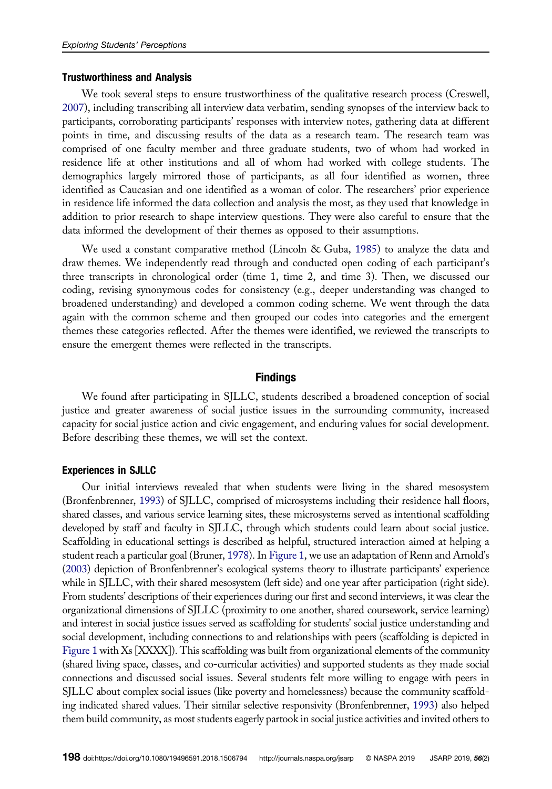### <span id="page-5-0"></span>Trustworthiness and Analysis

We took several steps to ensure trustworthiness of the qualitative research process (Creswell, [2007\)](#page-13-0), including transcribing all interview data verbatim, sending synopses of the interview back to participants, corroborating participants' responses with interview notes, gathering data at different points in time, and discussing results of the data as a research team. The research team was comprised of one faculty member and three graduate students, two of whom had worked in residence life at other institutions and all of whom had worked with college students. The demographics largely mirrored those of participants, as all four identified as women, three identified as Caucasian and one identified as a woman of color. The researchers' prior experience in residence life informed the data collection and analysis the most, as they used that knowledge in addition to prior research to shape interview questions. They were also careful to ensure that the data informed the development of their themes as opposed to their assumptions.

We used a constant comparative method (Lincoln & Guba, [1985](#page-13-0)) to analyze the data and draw themes. We independently read through and conducted open coding of each participant's three transcripts in chronological order (time 1, time 2, and time 3). Then, we discussed our coding, revising synonymous codes for consistency (e.g., deeper understanding was changed to broadened understanding) and developed a common coding scheme. We went through the data again with the common scheme and then grouped our codes into categories and the emergent themes these categories reflected. After the themes were identified, we reviewed the transcripts to ensure the emergent themes were reflected in the transcripts.

#### Findings

We found after participating in SJLLC, students described a broadened conception of social justice and greater awareness of social justice issues in the surrounding community, increased capacity for social justice action and civic engagement, and enduring values for social development. Before describing these themes, we will set the context.

#### Experiences in SJLLC

Our initial interviews revealed that when students were living in the shared mesosystem (Bronfenbrenner, [1993\)](#page-12-0) of SJLLC, comprised of microsystems including their residence hall floors, shared classes, and various service learning sites, these microsystems served as intentional scaffolding developed by staff and faculty in SJLLC, through which students could learn about social justice. Scaffolding in educational settings is described as helpful, structured interaction aimed at helping a student reach a particular goal (Bruner, [1978](#page-12-0)). In [Figure 1,](#page-6-0) we use an adaptation of Renn and Arnold's ([2003](#page-13-0)) depiction of Bronfenbrenner's ecological systems theory to illustrate participants' experience while in SJLLC, with their shared mesosystem (left side) and one year after participation (right side). From students' descriptions of their experiences during our first and second interviews, it was clear the organizational dimensions of SJLLC (proximity to one another, shared coursework, service learning) and interest in social justice issues served as scaffolding for students' social justice understanding and social development, including connections to and relationships with peers (scaffolding is depicted in [Figure 1](#page-6-0) with Xs [XXXX]). This scaffolding was built from organizational elements of the community (shared living space, classes, and co-curricular activities) and supported students as they made social connections and discussed social issues. Several students felt more willing to engage with peers in SJLLC about complex social issues (like poverty and homelessness) because the community scaffolding indicated shared values. Their similar selective responsivity (Bronfenbrenner, [1993\)](#page-12-0) also helped them build community, as most students eagerly partook in social justice activities and invited others to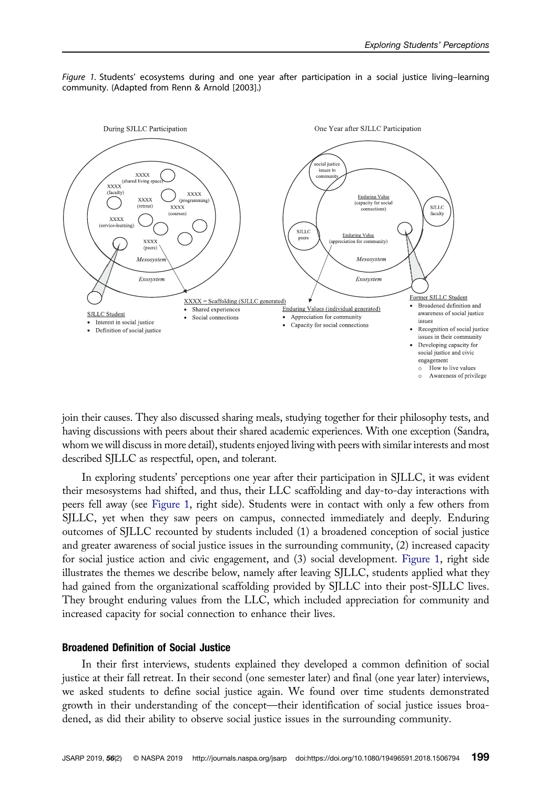

<span id="page-6-0"></span>Figure 1. Students' ecosystems during and one year after participation in a social justice living-learning community. (Adapted from Renn & Arnold [2003].)

join their causes. They also discussed sharing meals, studying together for their philosophy tests, and having discussions with peers about their shared academic experiences. With one exception (Sandra, whom we will discuss in more detail), students enjoyed living with peers with similar interests and most described SJLLC as respectful, open, and tolerant.

In exploring students' perceptions one year after their participation in SJLLC, it was evident their mesosystems had shifted, and thus, their LLC scaffolding and day-to-day interactions with peers fell away (see Figure 1, right side). Students were in contact with only a few others from SJLLC, yet when they saw peers on campus, connected immediately and deeply. Enduring outcomes of SJLLC recounted by students included (1) a broadened conception of social justice and greater awareness of social justice issues in the surrounding community, (2) increased capacity for social justice action and civic engagement, and (3) social development. Figure 1, right side illustrates the themes we describe below, namely after leaving SJLLC, students applied what they had gained from the organizational scaffolding provided by SJLLC into their post-SJLLC lives. They brought enduring values from the LLC, which included appreciation for community and increased capacity for social connection to enhance their lives.

### Broadened Definition of Social Justice

In their first interviews, students explained they developed a common definition of social justice at their fall retreat. In their second (one semester later) and final (one year later) interviews, we asked students to define social justice again. We found over time students demonstrated growth in their understanding of the concept—their identification of social justice issues broadened, as did their ability to observe social justice issues in the surrounding community.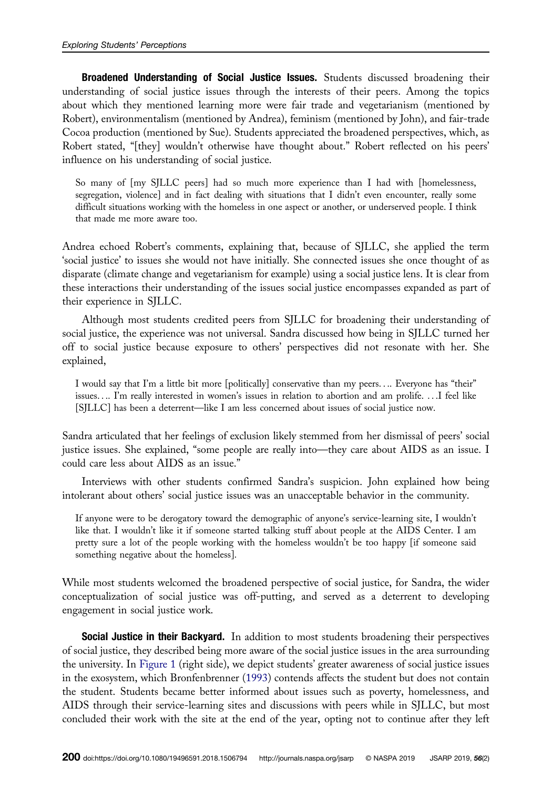Broadened Understanding of Social Justice Issues. Students discussed broadening their understanding of social justice issues through the interests of their peers. Among the topics about which they mentioned learning more were fair trade and vegetarianism (mentioned by Robert), environmentalism (mentioned by Andrea), feminism (mentioned by John), and fair-trade Cocoa production (mentioned by Sue). Students appreciated the broadened perspectives, which, as Robert stated, "[they] wouldn't otherwise have thought about." Robert reflected on his peers' influence on his understanding of social justice.

So many of [my SJLLC peers] had so much more experience than I had with [homelessness, segregation, violence] and in fact dealing with situations that I didn't even encounter, really some difficult situations working with the homeless in one aspect or another, or underserved people. I think that made me more aware too.

Andrea echoed Robert's comments, explaining that, because of SJLLC, she applied the term 'social justice' to issues she would not have initially. She connected issues she once thought of as disparate (climate change and vegetarianism for example) using a social justice lens. It is clear from these interactions their understanding of the issues social justice encompasses expanded as part of their experience in SJLLC.

Although most students credited peers from SJLLC for broadening their understanding of social justice, the experience was not universal. Sandra discussed how being in SJLLC turned her off to social justice because exposure to others' perspectives did not resonate with her. She explained,

I would say that I'm a little bit more [politically] conservative than my peers. . .. Everyone has "their" issues. . .. I'm really interested in women's issues in relation to abortion and am prolife. . . .I feel like [SJLLC] has been a deterrent—like I am less concerned about issues of social justice now.

Sandra articulated that her feelings of exclusion likely stemmed from her dismissal of peers' social justice issues. She explained, "some people are really into—they care about AIDS as an issue. I could care less about AIDS as an issue."

Interviews with other students confirmed Sandra's suspicion. John explained how being intolerant about others' social justice issues was an unacceptable behavior in the community.

If anyone were to be derogatory toward the demographic of anyone's service-learning site, I wouldn't like that. I wouldn't like it if someone started talking stuff about people at the AIDS Center. I am pretty sure a lot of the people working with the homeless wouldn't be too happy [if someone said something negative about the homeless].

While most students welcomed the broadened perspective of social justice, for Sandra, the wider conceptualization of social justice was off-putting, and served as a deterrent to developing engagement in social justice work.

**Social Justice in their Backyard.** In addition to most students broadening their perspectives of social justice, they described being more aware of the social justice issues in the area surrounding the university. In [Figure 1](#page-6-0) (right side), we depict students' greater awareness of social justice issues in the exosystem, which Bronfenbrenner ([1993](#page-12-0)) contends affects the student but does not contain the student. Students became better informed about issues such as poverty, homelessness, and AIDS through their service-learning sites and discussions with peers while in SJLLC, but most concluded their work with the site at the end of the year, opting not to continue after they left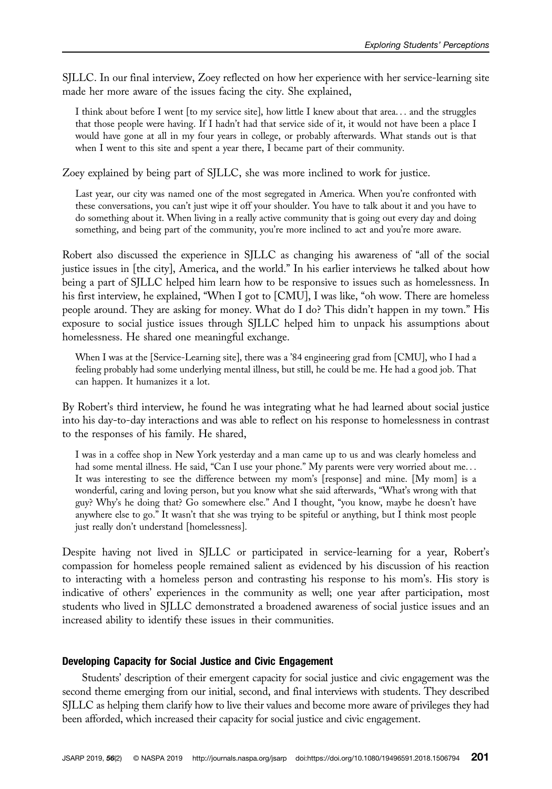SJLLC. In our final interview, Zoey reflected on how her experience with her service-learning site made her more aware of the issues facing the city. She explained,

I think about before I went [to my service site], how little I knew about that area. . . and the struggles that those people were having. If I hadn't had that service side of it, it would not have been a place I would have gone at all in my four years in college, or probably afterwards. What stands out is that when I went to this site and spent a year there, I became part of their community.

Zoey explained by being part of SJLLC, she was more inclined to work for justice.

Last year, our city was named one of the most segregated in America. When you're confronted with these conversations, you can't just wipe it off your shoulder. You have to talk about it and you have to do something about it. When living in a really active community that is going out every day and doing something, and being part of the community, you're more inclined to act and you're more aware.

Robert also discussed the experience in SJLLC as changing his awareness of "all of the social justice issues in [the city], America, and the world." In his earlier interviews he talked about how being a part of SJLLC helped him learn how to be responsive to issues such as homelessness. In his first interview, he explained, "When I got to [CMU], I was like, "oh wow. There are homeless people around. They are asking for money. What do I do? This didn't happen in my town." His exposure to social justice issues through SJLLC helped him to unpack his assumptions about homelessness. He shared one meaningful exchange.

When I was at the [Service-Learning site], there was a '84 engineering grad from [CMU], who I had a feeling probably had some underlying mental illness, but still, he could be me. He had a good job. That can happen. It humanizes it a lot.

By Robert's third interview, he found he was integrating what he had learned about social justice into his day-to-day interactions and was able to reflect on his response to homelessness in contrast to the responses of his family. He shared,

I was in a coffee shop in New York yesterday and a man came up to us and was clearly homeless and had some mental illness. He said, "Can I use your phone." My parents were very worried about me... It was interesting to see the difference between my mom's [response] and mine. [My mom] is a wonderful, caring and loving person, but you know what she said afterwards, "What's wrong with that guy? Why's he doing that? Go somewhere else." And I thought, "you know, maybe he doesn't have anywhere else to go." It wasn't that she was trying to be spiteful or anything, but I think most people just really don't understand [homelessness].

Despite having not lived in SJLLC or participated in service-learning for a year, Robert's compassion for homeless people remained salient as evidenced by his discussion of his reaction to interacting with a homeless person and contrasting his response to his mom's. His story is indicative of others' experiences in the community as well; one year after participation, most students who lived in SJLLC demonstrated a broadened awareness of social justice issues and an increased ability to identify these issues in their communities.

#### Developing Capacity for Social Justice and Civic Engagement

Students' description of their emergent capacity for social justice and civic engagement was the second theme emerging from our initial, second, and final interviews with students. They described SJLLC as helping them clarify how to live their values and become more aware of privileges they had been afforded, which increased their capacity for social justice and civic engagement.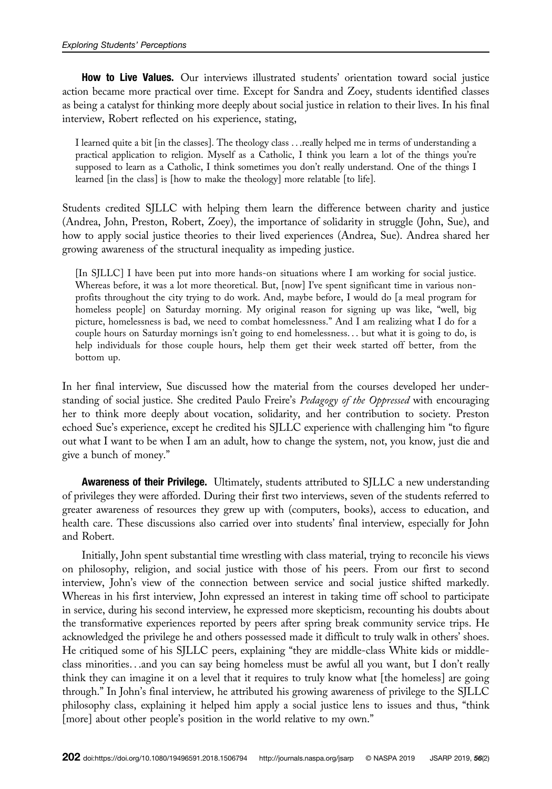**How to Live Values.** Our interviews illustrated students' orientation toward social justice action became more practical over time. Except for Sandra and Zoey, students identified classes as being a catalyst for thinking more deeply about social justice in relation to their lives. In his final interview, Robert reflected on his experience, stating,

I learned quite a bit [in the classes]. The theology class . . .really helped me in terms of understanding a practical application to religion. Myself as a Catholic, I think you learn a lot of the things you're supposed to learn as a Catholic, I think sometimes you don't really understand. One of the things I learned [in the class] is [how to make the theology] more relatable [to life].

Students credited SJLLC with helping them learn the difference between charity and justice (Andrea, John, Preston, Robert, Zoey), the importance of solidarity in struggle (John, Sue), and how to apply social justice theories to their lived experiences (Andrea, Sue). Andrea shared her growing awareness of the structural inequality as impeding justice.

[In SJLLC] I have been put into more hands-on situations where I am working for social justice. Whereas before, it was a lot more theoretical. But, [now] I've spent significant time in various nonprofits throughout the city trying to do work. And, maybe before, I would do [a meal program for homeless people] on Saturday morning. My original reason for signing up was like, "well, big picture, homelessness is bad, we need to combat homelessness." And I am realizing what I do for a couple hours on Saturday mornings isn't going to end homelessness. . . but what it is going to do, is help individuals for those couple hours, help them get their week started off better, from the bottom up.

In her final interview, Sue discussed how the material from the courses developed her understanding of social justice. She credited Paulo Freire's *Pedagogy of the Oppressed* with encouraging her to think more deeply about vocation, solidarity, and her contribution to society. Preston echoed Sue's experience, except he credited his SJLLC experience with challenging him "to figure out what I want to be when I am an adult, how to change the system, not, you know, just die and give a bunch of money."

**Awareness of their Privilege.** Ultimately, students attributed to SILLC a new understanding of privileges they were afforded. During their first two interviews, seven of the students referred to greater awareness of resources they grew up with (computers, books), access to education, and health care. These discussions also carried over into students' final interview, especially for John and Robert.

Initially, John spent substantial time wrestling with class material, trying to reconcile his views on philosophy, religion, and social justice with those of his peers. From our first to second interview, John's view of the connection between service and social justice shifted markedly. Whereas in his first interview, John expressed an interest in taking time off school to participate in service, during his second interview, he expressed more skepticism, recounting his doubts about the transformative experiences reported by peers after spring break community service trips. He acknowledged the privilege he and others possessed made it difficult to truly walk in others' shoes. He critiqued some of his SJLLC peers, explaining "they are middle-class White kids or middleclass minorities. . .and you can say being homeless must be awful all you want, but I don't really think they can imagine it on a level that it requires to truly know what [the homeless] are going through." In John's final interview, he attributed his growing awareness of privilege to the SJLLC philosophy class, explaining it helped him apply a social justice lens to issues and thus, "think [more] about other people's position in the world relative to my own."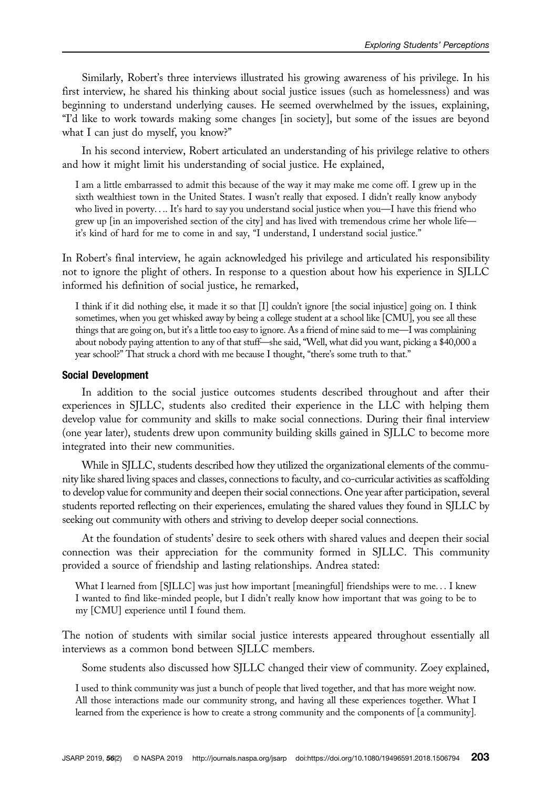Similarly, Robert's three interviews illustrated his growing awareness of his privilege. In his first interview, he shared his thinking about social justice issues (such as homelessness) and was beginning to understand underlying causes. He seemed overwhelmed by the issues, explaining, "I'd like to work towards making some changes [in society], but some of the issues are beyond what I can just do myself, you know?"

In his second interview, Robert articulated an understanding of his privilege relative to others and how it might limit his understanding of social justice. He explained,

I am a little embarrassed to admit this because of the way it may make me come off. I grew up in the sixth wealthiest town in the United States. I wasn't really that exposed. I didn't really know anybody who lived in poverty. . .. It's hard to say you understand social justice when you—I have this friend who grew up [in an impoverished section of the city] and has lived with tremendous crime her whole life it's kind of hard for me to come in and say, "I understand, I understand social justice."

In Robert's final interview, he again acknowledged his privilege and articulated his responsibility not to ignore the plight of others. In response to a question about how his experience in SJLLC informed his definition of social justice, he remarked,

I think if it did nothing else, it made it so that [I] couldn't ignore [the social injustice] going on. I think sometimes, when you get whisked away by being a college student at a school like [CMU], you see all these things that are going on, but it's a little too easy to ignore. As a friend of mine said to me—I was complaining about nobody paying attention to any of that stuff—she said, "Well, what did you want, picking a \$40,000 a year school?" That struck a chord with me because I thought, "there's some truth to that."

#### Social Development

In addition to the social justice outcomes students described throughout and after their experiences in SJLLC, students also credited their experience in the LLC with helping them develop value for community and skills to make social connections. During their final interview (one year later), students drew upon community building skills gained in SJLLC to become more integrated into their new communities.

While in SJLLC, students described how they utilized the organizational elements of the community like shared living spaces and classes, connections to faculty, and co-curricular activities as scaffolding to develop value for community and deepen their social connections. One year after participation, several students reported reflecting on their experiences, emulating the shared values they found in SJLLC by seeking out community with others and striving to develop deeper social connections.

At the foundation of students' desire to seek others with shared values and deepen their social connection was their appreciation for the community formed in SJLLC. This community provided a source of friendship and lasting relationships. Andrea stated:

What I learned from [SJLLC] was just how important [meaningful] friendships were to me... I knew I wanted to find like-minded people, but I didn't really know how important that was going to be to my [CMU] experience until I found them.

The notion of students with similar social justice interests appeared throughout essentially all interviews as a common bond between SJLLC members.

Some students also discussed how SJLLC changed their view of community. Zoey explained,

I used to think community was just a bunch of people that lived together, and that has more weight now. All those interactions made our community strong, and having all these experiences together. What I learned from the experience is how to create a strong community and the components of [a community].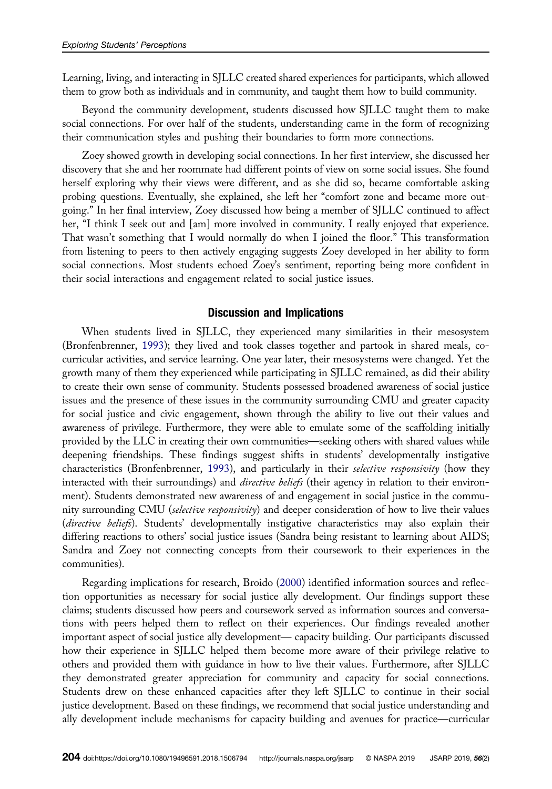Learning, living, and interacting in SJLLC created shared experiences for participants, which allowed them to grow both as individuals and in community, and taught them how to build community.

Beyond the community development, students discussed how SJLLC taught them to make social connections. For over half of the students, understanding came in the form of recognizing their communication styles and pushing their boundaries to form more connections.

Zoey showed growth in developing social connections. In her first interview, she discussed her discovery that she and her roommate had different points of view on some social issues. She found herself exploring why their views were different, and as she did so, became comfortable asking probing questions. Eventually, she explained, she left her "comfort zone and became more outgoing." In her final interview, Zoey discussed how being a member of SJLLC continued to affect her, "I think I seek out and [am] more involved in community. I really enjoyed that experience. That wasn't something that I would normally do when I joined the floor." This transformation from listening to peers to then actively engaging suggests Zoey developed in her ability to form social connections. Most students echoed Zoey's sentiment, reporting being more confident in their social interactions and engagement related to social justice issues.

### Discussion and Implications

When students lived in SJLLC, they experienced many similarities in their mesosystem (Bronfenbrenner, [1993\)](#page-12-0); they lived and took classes together and partook in shared meals, cocurricular activities, and service learning. One year later, their mesosystems were changed. Yet the growth many of them they experienced while participating in SJLLC remained, as did their ability to create their own sense of community. Students possessed broadened awareness of social justice issues and the presence of these issues in the community surrounding CMU and greater capacity for social justice and civic engagement, shown through the ability to live out their values and awareness of privilege. Furthermore, they were able to emulate some of the scaffolding initially provided by the LLC in creating their own communities—seeking others with shared values while deepening friendships. These findings suggest shifts in students' developmentally instigative characteristics (Bronfenbrenner, [1993\)](#page-12-0), and particularly in their *selective responsivity* (how they interacted with their surroundings) and *directive beliefs* (their agency in relation to their environment). Students demonstrated new awareness of and engagement in social justice in the community surrounding CMU (*selective responsivity*) and deeper consideration of how to live their values (directive beliefs). Students' developmentally instigative characteristics may also explain their differing reactions to others' social justice issues (Sandra being resistant to learning about AIDS; Sandra and Zoey not connecting concepts from their coursework to their experiences in the communities).

Regarding implications for research, Broido [\(2000](#page-12-0)) identified information sources and reflection opportunities as necessary for social justice ally development. Our findings support these claims; students discussed how peers and coursework served as information sources and conversations with peers helped them to reflect on their experiences. Our findings revealed another important aspect of social justice ally development— capacity building. Our participants discussed how their experience in SJLLC helped them become more aware of their privilege relative to others and provided them with guidance in how to live their values. Furthermore, after SJLLC they demonstrated greater appreciation for community and capacity for social connections. Students drew on these enhanced capacities after they left SJLLC to continue in their social justice development. Based on these findings, we recommend that social justice understanding and ally development include mechanisms for capacity building and avenues for practice—curricular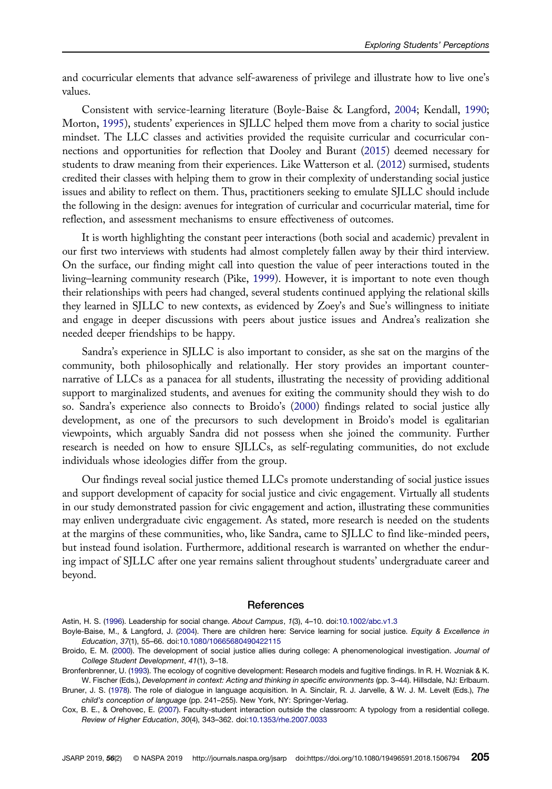<span id="page-12-0"></span>and cocurricular elements that advance self-awareness of privilege and illustrate how to live one's values.

Consistent with service-learning literature (Boyle-Baise & Langford, 2004; Kendall, [1990](#page-13-0); Morton, [1995](#page-13-0)), students' experiences in SJLLC helped them move from a charity to social justice mindset. The LLC classes and activities provided the requisite curricular and cocurricular connections and opportunities for reflection that Dooley and Burant ([2015\)](#page-13-0) deemed necessary for students to draw meaning from their experiences. Like Watterson et al. [\(2012](#page-13-0)) surmised, students credited their classes with helping them to grow in their complexity of understanding social justice issues and ability to reflect on them. Thus, practitioners seeking to emulate SJLLC should include the following in the design: avenues for integration of curricular and cocurricular material, time for reflection, and assessment mechanisms to ensure effectiveness of outcomes.

It is worth highlighting the constant peer interactions (both social and academic) prevalent in our first two interviews with students had almost completely fallen away by their third interview. On the surface, our finding might call into question the value of peer interactions touted in the living–learning community research (Pike, [1999\)](#page-13-0). However, it is important to note even though their relationships with peers had changed, several students continued applying the relational skills they learned in SJLLC to new contexts, as evidenced by Zoey's and Sue's willingness to initiate and engage in deeper discussions with peers about justice issues and Andrea's realization she needed deeper friendships to be happy.

Sandra's experience in SJLLC is also important to consider, as she sat on the margins of the community, both philosophically and relationally. Her story provides an important counternarrative of LLCs as a panacea for all students, illustrating the necessity of providing additional support to marginalized students, and avenues for exiting the community should they wish to do so. Sandra's experience also connects to Broido's (2000) findings related to social justice ally development, as one of the precursors to such development in Broido's model is egalitarian viewpoints, which arguably Sandra did not possess when she joined the community. Further research is needed on how to ensure SJLLCs, as self-regulating communities, do not exclude individuals whose ideologies differ from the group.

Our findings reveal social justice themed LLCs promote understanding of social justice issues and support development of capacity for social justice and civic engagement. Virtually all students in our study demonstrated passion for civic engagement and action, illustrating these communities may enliven undergraduate civic engagement. As stated, more research is needed on the students at the margins of these communities, who, like Sandra, came to SJLLC to find like-minded peers, but instead found isolation. Furthermore, additional research is warranted on whether the enduring impact of SJLLC after one year remains salient throughout students' undergraduate career and beyond.

#### References

Astin, H. S. [\(1996\)](#page-1-0). Leadership for social change. About Campus, 1(3), 4–10. doi:[10.1002/abc.v1.3](https://doi.org/10.1002/abc.v1.3)

Boyle-Baise, M., & Langford, J. ([2004](#page-2-0)). There are children here: Service learning for social justice. Equity & Excellence in Education, 37(1), 55–66. doi:[10.1080/10665680490422115](https://doi.org/10.1080/10665680490422115)

Broido, E. M. ([2000](#page-2-0)). The development of social justice allies during college: A phenomenological investigation. Journal of College Student Development, 41(1), 3–18.

Bronfenbrenner, U. [\(1993](#page-3-0)). The ecology of cognitive development: Research models and fugitive findings. In R. H. Wozniak & K. W. Fischer (Eds.), Development in context: Acting and thinking in specific environments (pp. 3–44). Hillsdale, NJ: Erlbaum.

Bruner, J. S. ([1978](#page-5-0)). The role of dialogue in language acquisition. In A. Sinclair, R. J. Jarvelle, & W. J. M. Levelt (Eds.), The child's conception of language (pp. 241–255). New York, NY: Springer-Verlag.

Cox, B. E., & Orehovec, E. ([2007](#page-2-0)). Faculty-student interaction outside the classroom: A typology from a residential college. Review of Higher Education, 30(4), 343–362. doi:[10.1353/rhe.2007.0033](https://doi.org/10.1353/rhe.2007.0033)